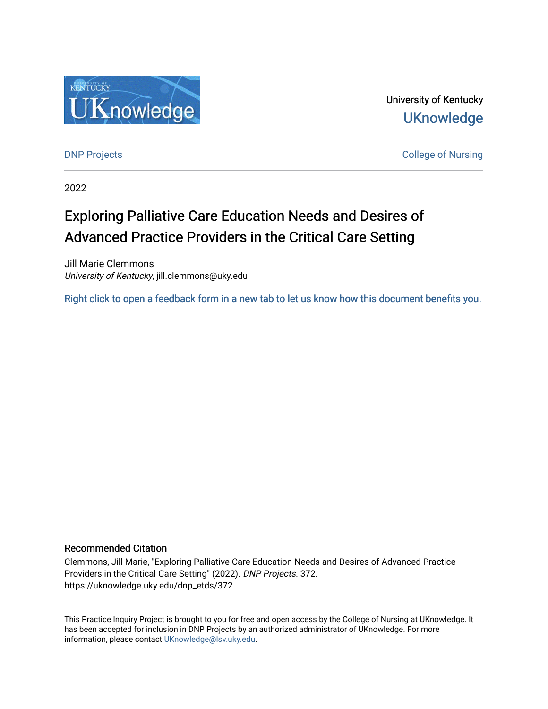

University of Kentucky **UKnowledge** 

[DNP Projects](https://uknowledge.uky.edu/dnp_etds) **College of Nursing** 

2022

# Exploring Palliative Care Education Needs and Desires of Advanced Practice Providers in the Critical Care Setting

Jill Marie Clemmons University of Kentucky, jill.clemmons@uky.edu

[Right click to open a feedback form in a new tab to let us know how this document benefits you.](https://uky.az1.qualtrics.com/jfe/form/SV_9mq8fx2GnONRfz7)

### Recommended Citation

Clemmons, Jill Marie, "Exploring Palliative Care Education Needs and Desires of Advanced Practice Providers in the Critical Care Setting" (2022). DNP Projects. 372. https://uknowledge.uky.edu/dnp\_etds/372

This Practice Inquiry Project is brought to you for free and open access by the College of Nursing at UKnowledge. It has been accepted for inclusion in DNP Projects by an authorized administrator of UKnowledge. For more information, please contact [UKnowledge@lsv.uky.edu](mailto:UKnowledge@lsv.uky.edu).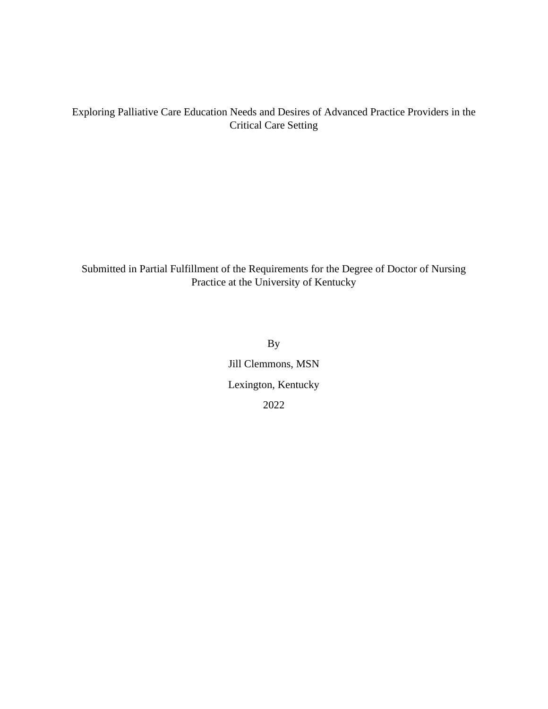## Exploring Palliative Care Education Needs and Desires of Advanced Practice Providers in the Critical Care Setting

Submitted in Partial Fulfillment of the Requirements for the Degree of Doctor of Nursing Practice at the University of Kentucky

> By Jill Clemmons, MSN Lexington, Kentucky 2022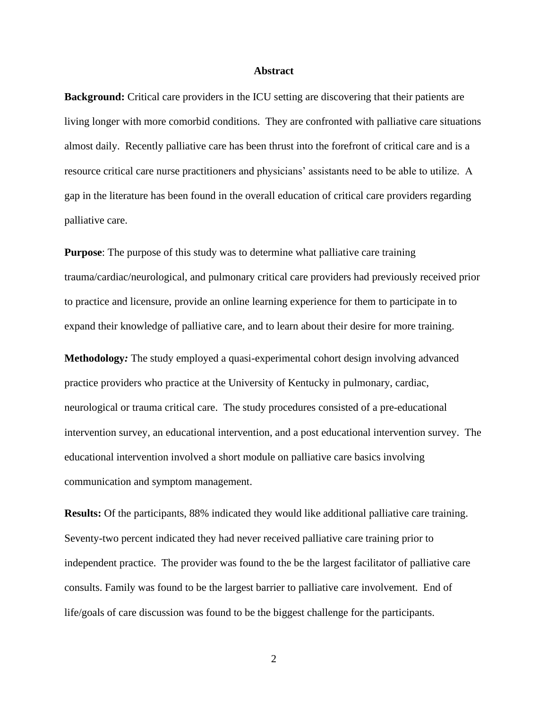#### **Abstract**

<span id="page-2-0"></span>**Background:** Critical care providers in the ICU setting are discovering that their patients are living longer with more comorbid conditions. They are confronted with palliative care situations almost daily. Recently palliative care has been thrust into the forefront of critical care and is a resource critical care nurse practitioners and physicians' assistants need to be able to utilize. A gap in the literature has been found in the overall education of critical care providers regarding palliative care.

**Purpose**: The purpose of this study was to determine what palliative care training trauma/cardiac/neurological, and pulmonary critical care providers had previously received prior to practice and licensure, provide an online learning experience for them to participate in to expand their knowledge of palliative care, and to learn about their desire for more training.

**Methodology***:* The study employed a quasi-experimental cohort design involving advanced practice providers who practice at the University of Kentucky in pulmonary, cardiac, neurological or trauma critical care. The study procedures consisted of a pre-educational intervention survey, an educational intervention, and a post educational intervention survey. The educational intervention involved a short module on palliative care basics involving communication and symptom management.

**Results:** Of the participants, 88% indicated they would like additional palliative care training. Seventy-two percent indicated they had never received palliative care training prior to independent practice. The provider was found to the be the largest facilitator of palliative care consults. Family was found to be the largest barrier to palliative care involvement. End of life/goals of care discussion was found to be the biggest challenge for the participants.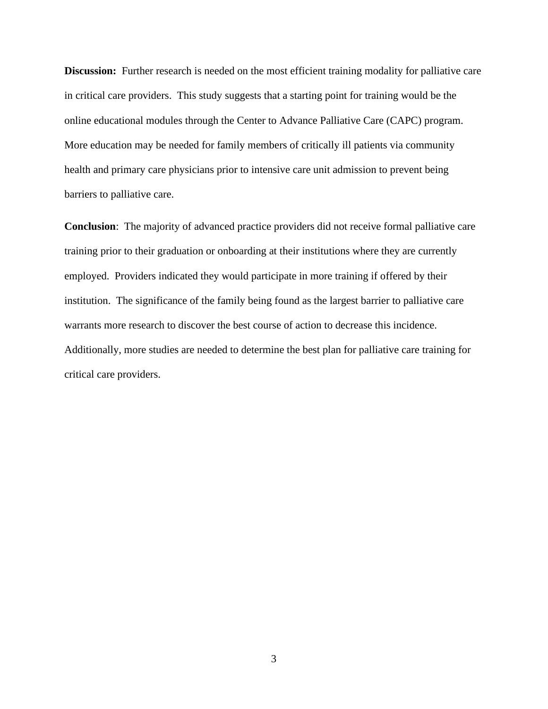**Discussion:** Further research is needed on the most efficient training modality for palliative care in critical care providers. This study suggests that a starting point for training would be the online educational modules through the Center to Advance Palliative Care (CAPC) program. More education may be needed for family members of critically ill patients via community health and primary care physicians prior to intensive care unit admission to prevent being barriers to palliative care.

**Conclusion**: The majority of advanced practice providers did not receive formal palliative care training prior to their graduation or onboarding at their institutions where they are currently employed. Providers indicated they would participate in more training if offered by their institution. The significance of the family being found as the largest barrier to palliative care warrants more research to discover the best course of action to decrease this incidence. Additionally, more studies are needed to determine the best plan for palliative care training for critical care providers.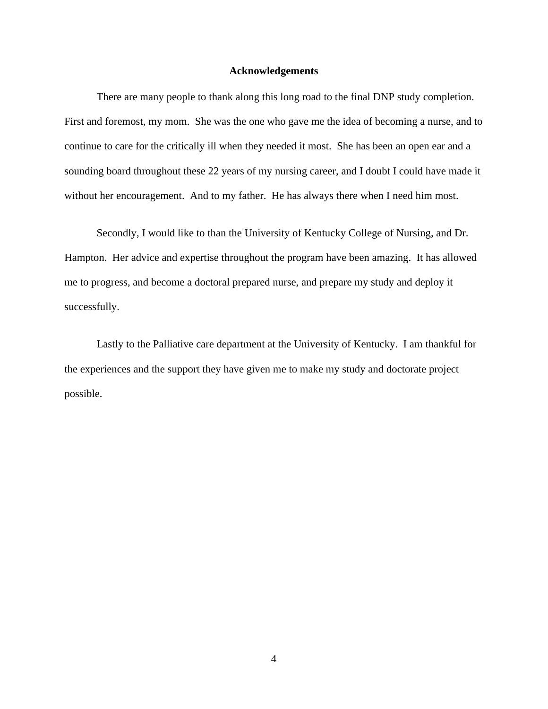#### **Acknowledgements**

<span id="page-4-0"></span>There are many people to thank along this long road to the final DNP study completion. First and foremost, my mom. She was the one who gave me the idea of becoming a nurse, and to continue to care for the critically ill when they needed it most. She has been an open ear and a sounding board throughout these 22 years of my nursing career, and I doubt I could have made it without her encouragement. And to my father. He has always there when I need him most.

Secondly, I would like to than the University of Kentucky College of Nursing, and Dr. Hampton. Her advice and expertise throughout the program have been amazing. It has allowed me to progress, and become a doctoral prepared nurse, and prepare my study and deploy it successfully.

Lastly to the Palliative care department at the University of Kentucky. I am thankful for the experiences and the support they have given me to make my study and doctorate project possible.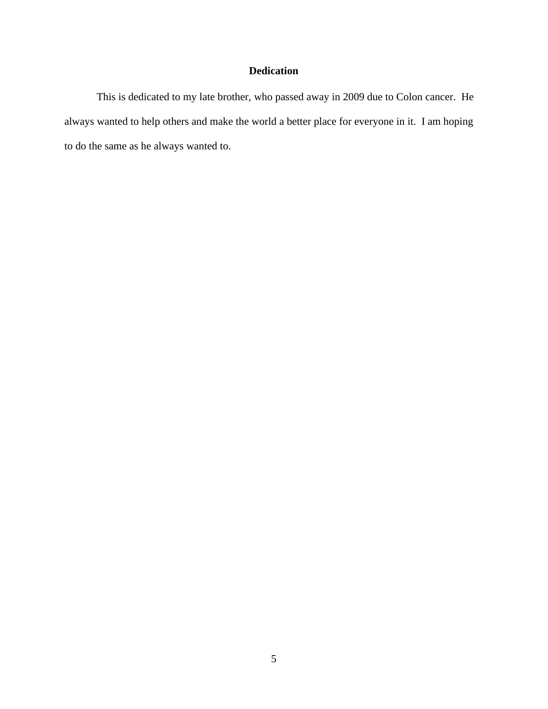# **Dedication**

<span id="page-5-0"></span>This is dedicated to my late brother, who passed away in 2009 due to Colon cancer. He always wanted to help others and make the world a better place for everyone in it. I am hoping to do the same as he always wanted to.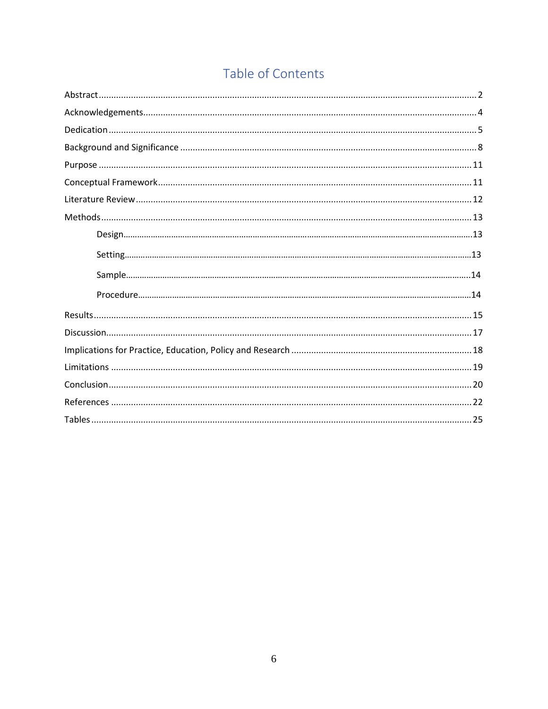# Table of Contents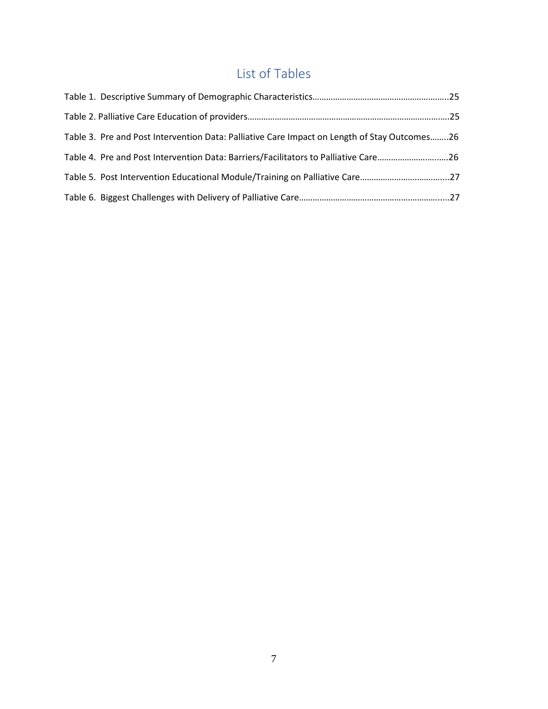# List of Tables

| Table 3. Pre and Post Intervention Data: Palliative Care Impact on Length of Stay Outcomes26 |  |
|----------------------------------------------------------------------------------------------|--|
| Table 4. Pre and Post Intervention Data: Barriers/Facilitators to Palliative Care26          |  |
| Table 5. Post Intervention Educational Module/Training on Palliative Care27                  |  |
|                                                                                              |  |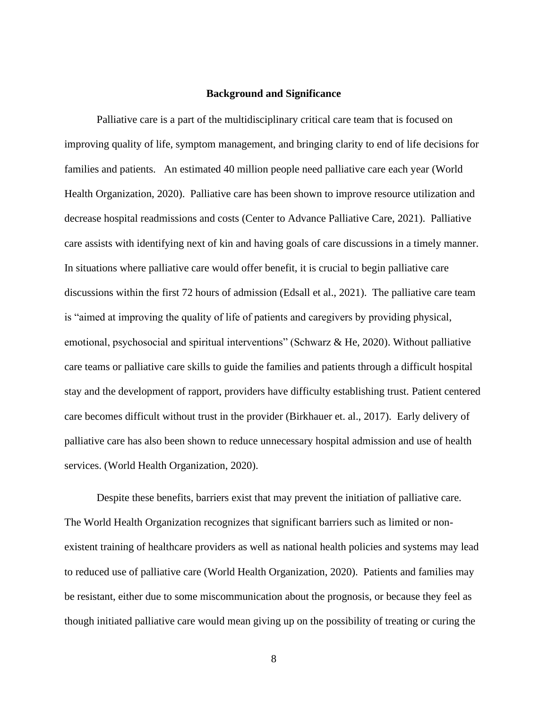#### **Background and Significance**

<span id="page-8-0"></span>Palliative care is a part of the multidisciplinary critical care team that is focused on improving quality of life, symptom management, and bringing clarity to end of life decisions for families and patients. An estimated 40 million people need palliative care each year (World Health Organization, 2020). Palliative care has been shown to improve resource utilization and decrease hospital readmissions and costs (Center to Advance Palliative Care, 2021). Palliative care assists with identifying next of kin and having goals of care discussions in a timely manner. In situations where palliative care would offer benefit, it is crucial to begin palliative care discussions within the first 72 hours of admission (Edsall et al., 2021). The palliative care team is "aimed at improving the quality of life of patients and caregivers by providing physical, emotional, psychosocial and spiritual interventions" (Schwarz & He, 2020). Without palliative care teams or palliative care skills to guide the families and patients through a difficult hospital stay and the development of rapport, providers have difficulty establishing trust. Patient centered care becomes difficult without trust in the provider (Birkhauer et. al., 2017). Early delivery of palliative care has also been shown to reduce unnecessary hospital admission and use of health services. (World Health Organization, 2020).

Despite these benefits, barriers exist that may prevent the initiation of palliative care. The World Health Organization recognizes that significant barriers such as limited or nonexistent training of healthcare providers as well as national health policies and systems may lead to reduced use of palliative care (World Health Organization, 2020). Patients and families may be resistant, either due to some miscommunication about the prognosis, or because they feel as though initiated palliative care would mean giving up on the possibility of treating or curing the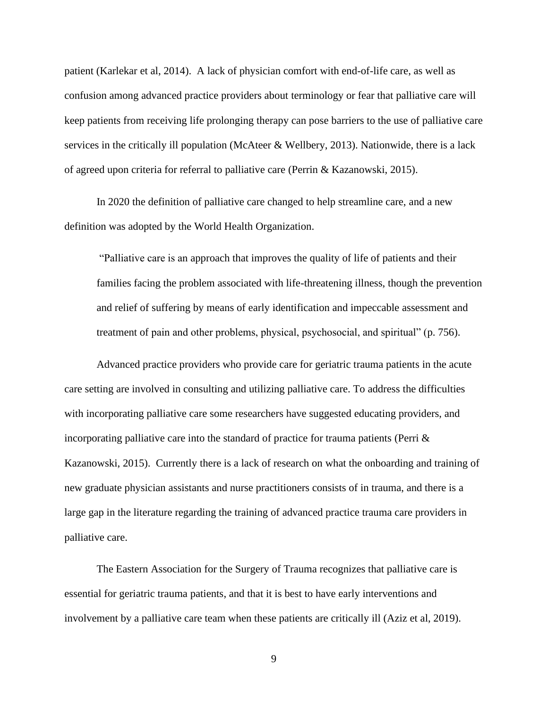patient (Karlekar et al, 2014). A lack of physician comfort with end-of-life care, as well as confusion among advanced practice providers about terminology or fear that palliative care will keep patients from receiving life prolonging therapy can pose barriers to the use of palliative care services in the critically ill population (McAteer & Wellbery, 2013). Nationwide, there is a lack of agreed upon criteria for referral to palliative care (Perrin & Kazanowski, 2015).

In 2020 the definition of palliative care changed to help streamline care, and a new definition was adopted by the World Health Organization.

"Palliative care is an approach that improves the quality of life of patients and their families facing the problem associated with life-threatening illness, though the prevention and relief of suffering by means of early identification and impeccable assessment and treatment of pain and other problems, physical, psychosocial, and spiritual" (p. 756).

Advanced practice providers who provide care for geriatric trauma patients in the acute care setting are involved in consulting and utilizing palliative care. To address the difficulties with incorporating palliative care some researchers have suggested educating providers, and incorporating palliative care into the standard of practice for trauma patients (Perri & Kazanowski, 2015). Currently there is a lack of research on what the onboarding and training of new graduate physician assistants and nurse practitioners consists of in trauma, and there is a large gap in the literature regarding the training of advanced practice trauma care providers in palliative care.

The Eastern Association for the Surgery of Trauma recognizes that palliative care is essential for geriatric trauma patients, and that it is best to have early interventions and involvement by a palliative care team when these patients are critically ill (Aziz et al, 2019).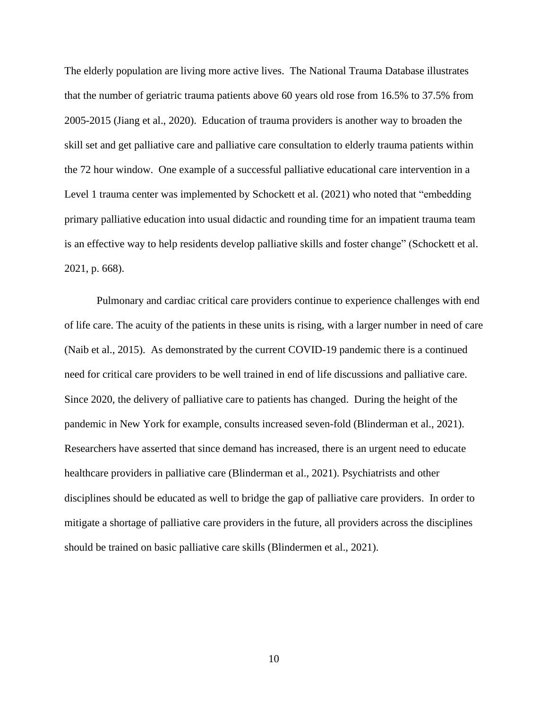The elderly population are living more active lives. The National Trauma Database illustrates that the number of geriatric trauma patients above 60 years old rose from 16.5% to 37.5% from 2005-2015 (Jiang et al., 2020). Education of trauma providers is another way to broaden the skill set and get palliative care and palliative care consultation to elderly trauma patients within the 72 hour window. One example of a successful palliative educational care intervention in a Level 1 trauma center was implemented by Schockett et al. (2021) who noted that "embedding primary palliative education into usual didactic and rounding time for an impatient trauma team is an effective way to help residents develop palliative skills and foster change" (Schockett et al. 2021, p. 668).

Pulmonary and cardiac critical care providers continue to experience challenges with end of life care. The acuity of the patients in these units is rising, with a larger number in need of care (Naib et al., 2015). As demonstrated by the current COVID-19 pandemic there is a continued need for critical care providers to be well trained in end of life discussions and palliative care. Since 2020, the delivery of palliative care to patients has changed. During the height of the pandemic in New York for example, consults increased seven-fold (Blinderman et al., 2021). Researchers have asserted that since demand has increased, there is an urgent need to educate healthcare providers in palliative care (Blinderman et al., 2021). Psychiatrists and other disciplines should be educated as well to bridge the gap of palliative care providers. In order to mitigate a shortage of palliative care providers in the future, all providers across the disciplines should be trained on basic palliative care skills (Blindermen et al., 2021).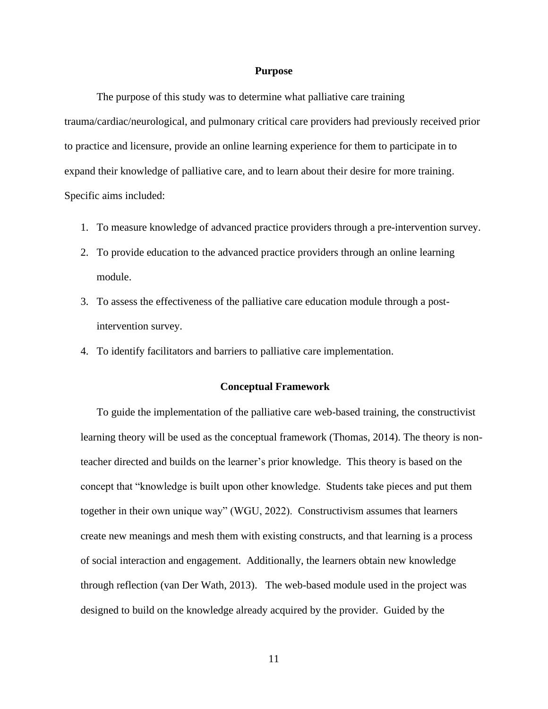#### **Purpose**

<span id="page-11-0"></span>The purpose of this study was to determine what palliative care training trauma/cardiac/neurological, and pulmonary critical care providers had previously received prior to practice and licensure, provide an online learning experience for them to participate in to expand their knowledge of palliative care, and to learn about their desire for more training. Specific aims included:

- 1. To measure knowledge of advanced practice providers through a pre-intervention survey.
- 2. To provide education to the advanced practice providers through an online learning module.
- 3. To assess the effectiveness of the palliative care education module through a postintervention survey.
- 4. To identify facilitators and barriers to palliative care implementation.

#### <span id="page-11-1"></span>**Conceptual Framework**

To guide the implementation of the palliative care web-based training, the constructivist learning theory will be used as the conceptual framework (Thomas, 2014). The theory is nonteacher directed and builds on the learner's prior knowledge. This theory is based on the concept that "knowledge is built upon other knowledge. Students take pieces and put them together in their own unique way" (WGU, 2022). Constructivism assumes that learners create new meanings and mesh them with existing constructs, and that learning is a process of social interaction and engagement. Additionally, the learners obtain new knowledge through reflection (van Der Wath, 2013). The web-based module used in the project was designed to build on the knowledge already acquired by the provider. Guided by the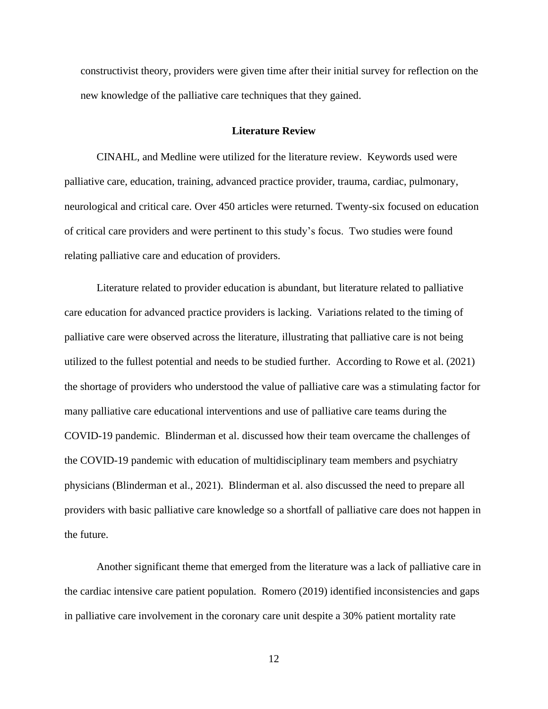constructivist theory, providers were given time after their initial survey for reflection on the new knowledge of the palliative care techniques that they gained.

#### **Literature Review**

<span id="page-12-0"></span>CINAHL, and Medline were utilized for the literature review. Keywords used were palliative care, education, training, advanced practice provider, trauma, cardiac, pulmonary, neurological and critical care. Over 450 articles were returned. Twenty-six focused on education of critical care providers and were pertinent to this study's focus. Two studies were found relating palliative care and education of providers.

Literature related to provider education is abundant, but literature related to palliative care education for advanced practice providers is lacking. Variations related to the timing of palliative care were observed across the literature, illustrating that palliative care is not being utilized to the fullest potential and needs to be studied further. According to Rowe et al. (2021) the shortage of providers who understood the value of palliative care was a stimulating factor for many palliative care educational interventions and use of palliative care teams during the COVID-19 pandemic. Blinderman et al. discussed how their team overcame the challenges of the COVID-19 pandemic with education of multidisciplinary team members and psychiatry physicians (Blinderman et al., 2021). Blinderman et al. also discussed the need to prepare all providers with basic palliative care knowledge so a shortfall of palliative care does not happen in the future.

Another significant theme that emerged from the literature was a lack of palliative care in the cardiac intensive care patient population. Romero (2019) identified inconsistencies and gaps in palliative care involvement in the coronary care unit despite a 30% patient mortality rate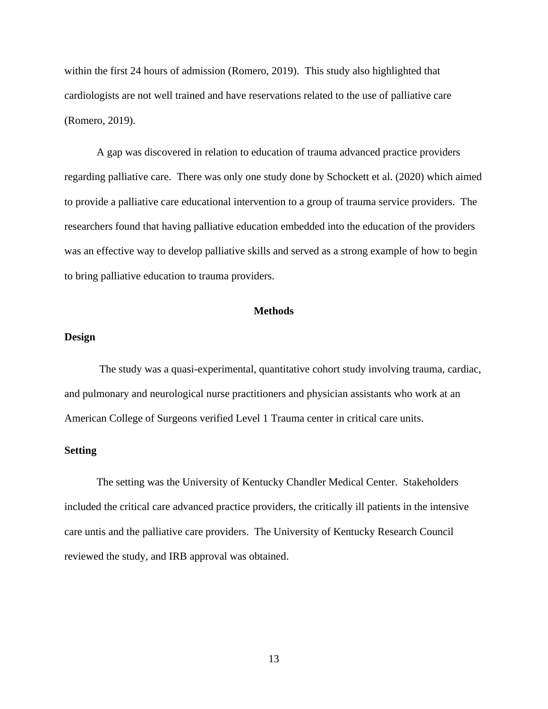within the first 24 hours of admission (Romero, 2019). This study also highlighted that cardiologists are not well trained and have reservations related to the use of palliative care (Romero, 2019).

A gap was discovered in relation to education of trauma advanced practice providers regarding palliative care. There was only one study done by Schockett et al. (2020) which aimed to provide a palliative care educational intervention to a group of trauma service providers. The researchers found that having palliative education embedded into the education of the providers was an effective way to develop palliative skills and served as a strong example of how to begin to bring palliative education to trauma providers.

## **Methods**

#### <span id="page-13-0"></span>**Design**

The study was a quasi-experimental, quantitative cohort study involving trauma, cardiac, and pulmonary and neurological nurse practitioners and physician assistants who work at an American College of Surgeons verified Level 1 Trauma center in critical care units.

### **Setting**

The setting was the University of Kentucky Chandler Medical Center. Stakeholders included the critical care advanced practice providers, the critically ill patients in the intensive care untis and the palliative care providers. The University of Kentucky Research Council reviewed the study, and IRB approval was obtained.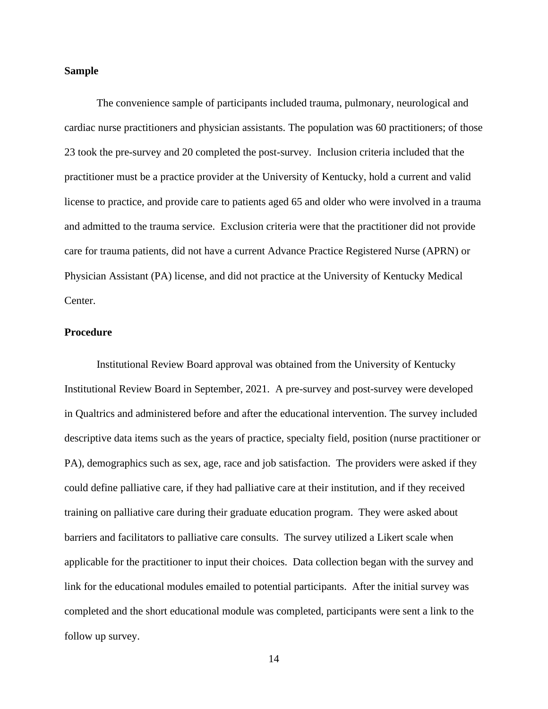#### **Sample**

The convenience sample of participants included trauma, pulmonary, neurological and cardiac nurse practitioners and physician assistants. The population was 60 practitioners; of those 23 took the pre-survey and 20 completed the post-survey. Inclusion criteria included that the practitioner must be a practice provider at the University of Kentucky, hold a current and valid license to practice, and provide care to patients aged 65 and older who were involved in a trauma and admitted to the trauma service. Exclusion criteria were that the practitioner did not provide care for trauma patients, did not have a current Advance Practice Registered Nurse (APRN) or Physician Assistant (PA) license, and did not practice at the University of Kentucky Medical Center.

### **Procedure**

Institutional Review Board approval was obtained from the University of Kentucky Institutional Review Board in September, 2021. A pre-survey and post-survey were developed in Qualtrics and administered before and after the educational intervention. The survey included descriptive data items such as the years of practice, specialty field, position (nurse practitioner or PA), demographics such as sex, age, race and job satisfaction. The providers were asked if they could define palliative care, if they had palliative care at their institution, and if they received training on palliative care during their graduate education program. They were asked about barriers and facilitators to palliative care consults. The survey utilized a Likert scale when applicable for the practitioner to input their choices. Data collection began with the survey and link for the educational modules emailed to potential participants. After the initial survey was completed and the short educational module was completed, participants were sent a link to the follow up survey.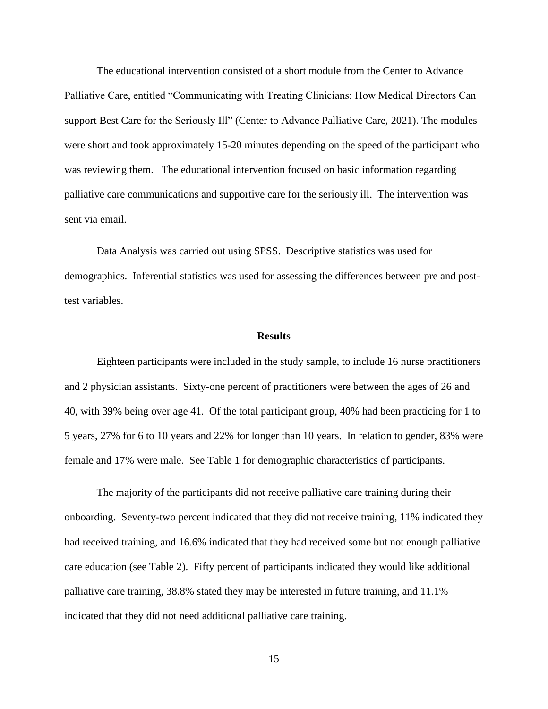The educational intervention consisted of a short module from the Center to Advance Palliative Care, entitled "Communicating with Treating Clinicians: How Medical Directors Can support Best Care for the Seriously Ill" (Center to Advance Palliative Care, 2021). The modules were short and took approximately 15-20 minutes depending on the speed of the participant who was reviewing them. The educational intervention focused on basic information regarding palliative care communications and supportive care for the seriously ill. The intervention was sent via email.

Data Analysis was carried out using SPSS. Descriptive statistics was used for demographics. Inferential statistics was used for assessing the differences between pre and posttest variables.

#### **Results**

<span id="page-15-0"></span>Eighteen participants were included in the study sample, to include 16 nurse practitioners and 2 physician assistants. Sixty-one percent of practitioners were between the ages of 26 and 40, with 39% being over age 41. Of the total participant group, 40% had been practicing for 1 to 5 years, 27% for 6 to 10 years and 22% for longer than 10 years. In relation to gender, 83% were female and 17% were male. See Table 1 for demographic characteristics of participants.

The majority of the participants did not receive palliative care training during their onboarding. Seventy-two percent indicated that they did not receive training, 11% indicated they had received training, and 16.6% indicated that they had received some but not enough palliative care education (see Table 2). Fifty percent of participants indicated they would like additional palliative care training, 38.8% stated they may be interested in future training, and 11.1% indicated that they did not need additional palliative care training.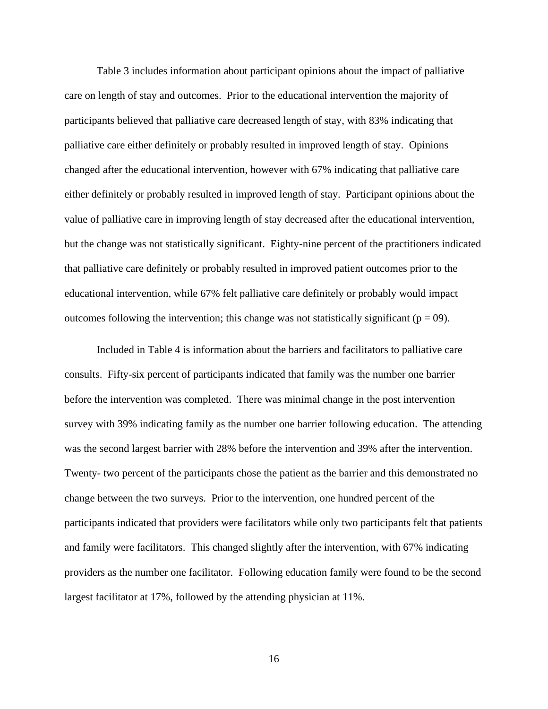Table 3 includes information about participant opinions about the impact of palliative care on length of stay and outcomes. Prior to the educational intervention the majority of participants believed that palliative care decreased length of stay, with 83% indicating that palliative care either definitely or probably resulted in improved length of stay. Opinions changed after the educational intervention, however with 67% indicating that palliative care either definitely or probably resulted in improved length of stay. Participant opinions about the value of palliative care in improving length of stay decreased after the educational intervention, but the change was not statistically significant. Eighty-nine percent of the practitioners indicated that palliative care definitely or probably resulted in improved patient outcomes prior to the educational intervention, while 67% felt palliative care definitely or probably would impact outcomes following the intervention; this change was not statistically significant ( $p = 09$ ).

Included in Table 4 is information about the barriers and facilitators to palliative care consults. Fifty-six percent of participants indicated that family was the number one barrier before the intervention was completed. There was minimal change in the post intervention survey with 39% indicating family as the number one barrier following education. The attending was the second largest barrier with 28% before the intervention and 39% after the intervention. Twenty- two percent of the participants chose the patient as the barrier and this demonstrated no change between the two surveys. Prior to the intervention, one hundred percent of the participants indicated that providers were facilitators while only two participants felt that patients and family were facilitators. This changed slightly after the intervention, with 67% indicating providers as the number one facilitator. Following education family were found to be the second largest facilitator at 17%, followed by the attending physician at 11%.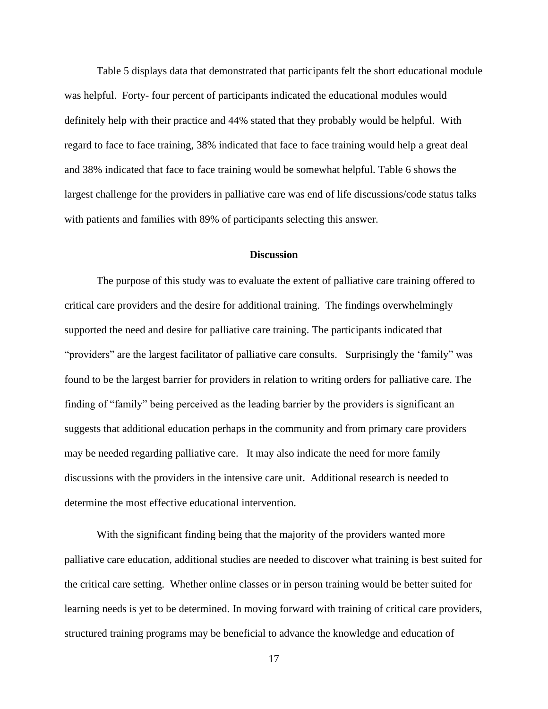Table 5 displays data that demonstrated that participants felt the short educational module was helpful. Forty- four percent of participants indicated the educational modules would definitely help with their practice and 44% stated that they probably would be helpful. With regard to face to face training, 38% indicated that face to face training would help a great deal and 38% indicated that face to face training would be somewhat helpful. Table 6 shows the largest challenge for the providers in palliative care was end of life discussions/code status talks with patients and families with 89% of participants selecting this answer.

#### **Discussion**

<span id="page-17-0"></span>The purpose of this study was to evaluate the extent of palliative care training offered to critical care providers and the desire for additional training. The findings overwhelmingly supported the need and desire for palliative care training. The participants indicated that "providers" are the largest facilitator of palliative care consults. Surprisingly the 'family" was found to be the largest barrier for providers in relation to writing orders for palliative care. The finding of "family" being perceived as the leading barrier by the providers is significant an suggests that additional education perhaps in the community and from primary care providers may be needed regarding palliative care. It may also indicate the need for more family discussions with the providers in the intensive care unit. Additional research is needed to determine the most effective educational intervention.

With the significant finding being that the majority of the providers wanted more palliative care education, additional studies are needed to discover what training is best suited for the critical care setting. Whether online classes or in person training would be better suited for learning needs is yet to be determined. In moving forward with training of critical care providers, structured training programs may be beneficial to advance the knowledge and education of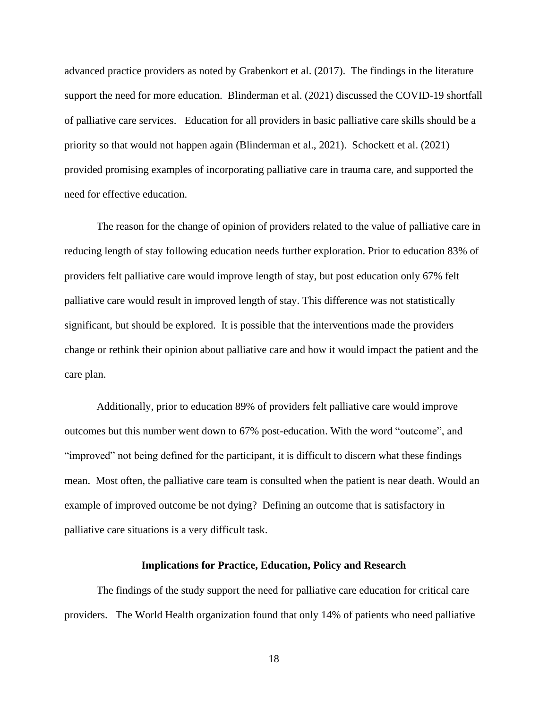advanced practice providers as noted by Grabenkort et al. (2017). The findings in the literature support the need for more education. Blinderman et al. (2021) discussed the COVID-19 shortfall of palliative care services. Education for all providers in basic palliative care skills should be a priority so that would not happen again (Blinderman et al., 2021). Schockett et al. (2021) provided promising examples of incorporating palliative care in trauma care, and supported the need for effective education.

The reason for the change of opinion of providers related to the value of palliative care in reducing length of stay following education needs further exploration. Prior to education 83% of providers felt palliative care would improve length of stay, but post education only 67% felt palliative care would result in improved length of stay. This difference was not statistically significant, but should be explored. It is possible that the interventions made the providers change or rethink their opinion about palliative care and how it would impact the patient and the care plan.

Additionally, prior to education 89% of providers felt palliative care would improve outcomes but this number went down to 67% post-education. With the word "outcome", and "improved" not being defined for the participant, it is difficult to discern what these findings mean. Most often, the palliative care team is consulted when the patient is near death. Would an example of improved outcome be not dying? Defining an outcome that is satisfactory in palliative care situations is a very difficult task.

#### **Implications for Practice, Education, Policy and Research**

<span id="page-18-0"></span>The findings of the study support the need for palliative care education for critical care providers. The World Health organization found that only 14% of patients who need palliative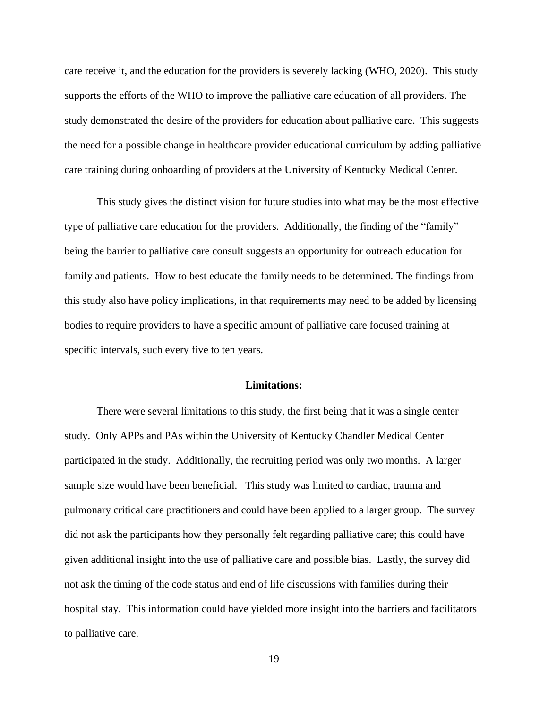care receive it, and the education for the providers is severely lacking (WHO, 2020). This study supports the efforts of the WHO to improve the palliative care education of all providers. The study demonstrated the desire of the providers for education about palliative care. This suggests the need for a possible change in healthcare provider educational curriculum by adding palliative care training during onboarding of providers at the University of Kentucky Medical Center.

This study gives the distinct vision for future studies into what may be the most effective type of palliative care education for the providers. Additionally, the finding of the "family" being the barrier to palliative care consult suggests an opportunity for outreach education for family and patients. How to best educate the family needs to be determined. The findings from this study also have policy implications, in that requirements may need to be added by licensing bodies to require providers to have a specific amount of palliative care focused training at specific intervals, such every five to ten years.

#### **Limitations:**

<span id="page-19-0"></span>There were several limitations to this study, the first being that it was a single center study. Only APPs and PAs within the University of Kentucky Chandler Medical Center participated in the study. Additionally, the recruiting period was only two months. A larger sample size would have been beneficial. This study was limited to cardiac, trauma and pulmonary critical care practitioners and could have been applied to a larger group. The survey did not ask the participants how they personally felt regarding palliative care; this could have given additional insight into the use of palliative care and possible bias. Lastly, the survey did not ask the timing of the code status and end of life discussions with families during their hospital stay. This information could have yielded more insight into the barriers and facilitators to palliative care.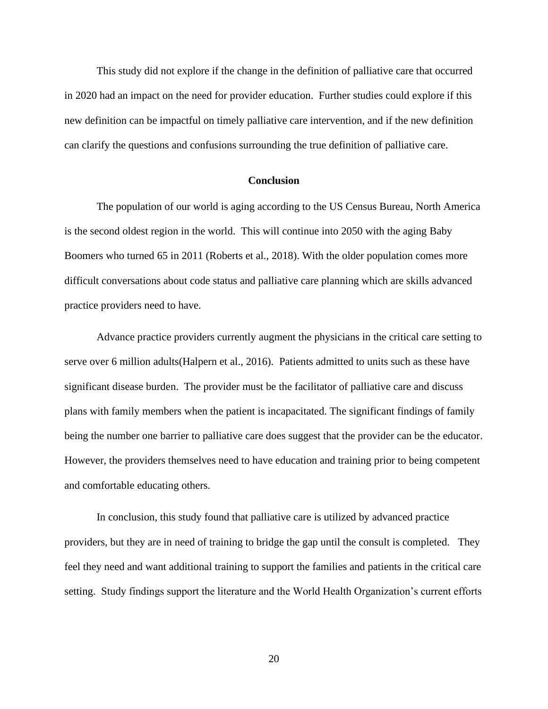This study did not explore if the change in the definition of palliative care that occurred in 2020 had an impact on the need for provider education. Further studies could explore if this new definition can be impactful on timely palliative care intervention, and if the new definition can clarify the questions and confusions surrounding the true definition of palliative care.

#### **Conclusion**

<span id="page-20-0"></span>The population of our world is aging according to the US Census Bureau, North America is the second oldest region in the world. This will continue into 2050 with the aging Baby Boomers who turned 65 in 2011 (Roberts et al., 2018). With the older population comes more difficult conversations about code status and palliative care planning which are skills advanced practice providers need to have.

Advance practice providers currently augment the physicians in the critical care setting to serve over 6 million adults(Halpern et al., 2016). Patients admitted to units such as these have significant disease burden. The provider must be the facilitator of palliative care and discuss plans with family members when the patient is incapacitated. The significant findings of family being the number one barrier to palliative care does suggest that the provider can be the educator. However, the providers themselves need to have education and training prior to being competent and comfortable educating others.

In conclusion, this study found that palliative care is utilized by advanced practice providers, but they are in need of training to bridge the gap until the consult is completed. They feel they need and want additional training to support the families and patients in the critical care setting. Study findings support the literature and the World Health Organization's current efforts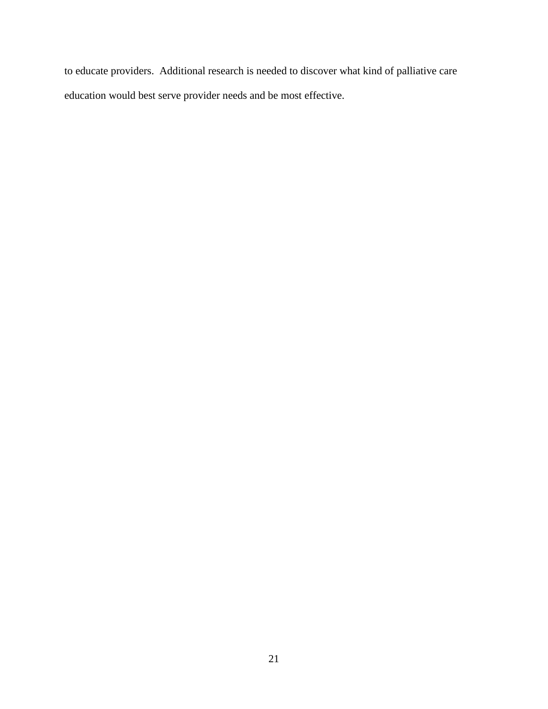to educate providers. Additional research is needed to discover what kind of palliative care education would best serve provider needs and be most effective.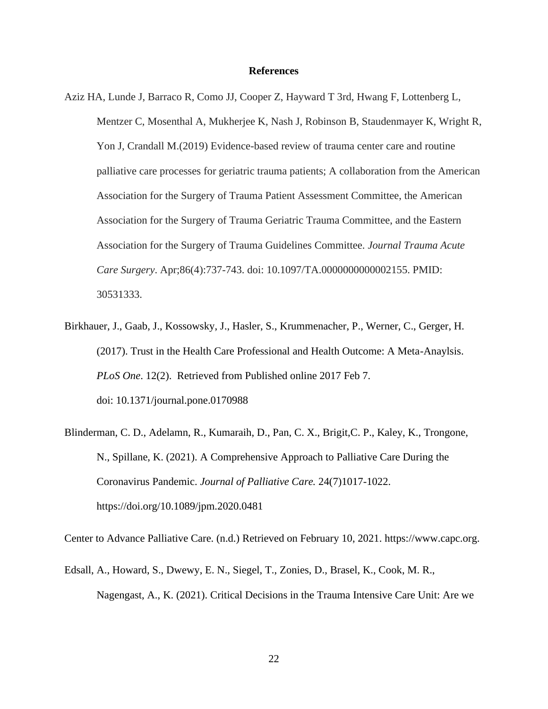#### **References**

- <span id="page-22-0"></span>Aziz HA, Lunde J, Barraco R, Como JJ, Cooper Z, Hayward T 3rd, Hwang F, Lottenberg L, Mentzer C, Mosenthal A, Mukherjee K, Nash J, Robinson B, Staudenmayer K, Wright R, Yon J, Crandall M.(2019) Evidence-based review of trauma center care and routine palliative care processes for geriatric trauma patients; A collaboration from the American Association for the Surgery of Trauma Patient Assessment Committee, the American Association for the Surgery of Trauma Geriatric Trauma Committee, and the Eastern Association for the Surgery of Trauma Guidelines Committee. *Journal Trauma Acute Care Surgery*. Apr;86(4):737-743. doi: 10.1097/TA.0000000000002155. PMID: 30531333.
- Birkhauer, J., Gaab, J., Kossowsky, J., Hasler, S., Krummenacher, P., Werner, C., Gerger, H. (2017). Trust in the Health Care Professional and Health Outcome: A Meta-Anaylsis. *PLoS One*. 12(2). Retrieved from Published online 2017 Feb 7. doi: [10.1371/journal.pone.0170988](https://dx.doi.org/10.1371%2Fjournal.pone.0170988)
- Blinderman, C. D., Adelamn, R., Kumaraih, D., Pan, C. X., Brigit,C. P., Kaley, K., Trongone, N., Spillane, K. (2021). A Comprehensive Approach to Palliative Care During the Coronavirus Pandemic. *Journal of Palliative Care.* 24(7)1017-1022. <https://doi.org/10.1089/jpm.2020.0481>

Center to Advance Palliative Care. (n.d.) Retrieved on February 10, 2021. https://www.capc.org.

Edsall, A., Howard, S., Dwewy, E. N., Siegel, T., Zonies, D., Brasel, K., Cook, M. R., Nagengast, A., K. (2021). Critical Decisions in the Trauma Intensive Care Unit: Are we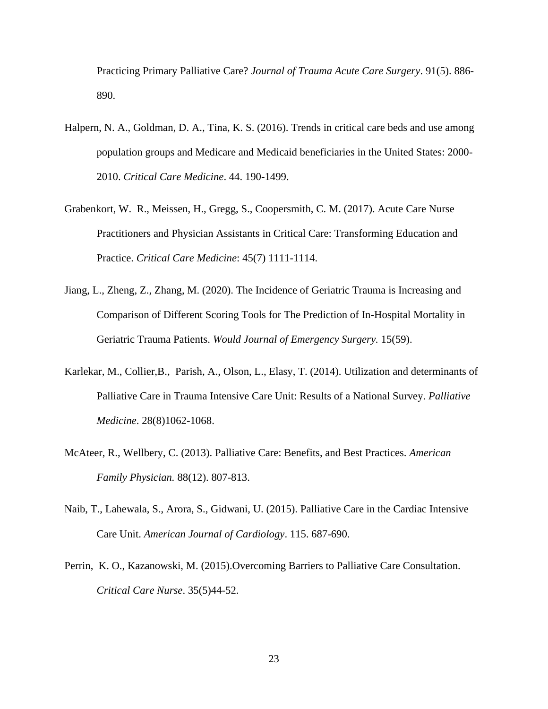Practicing Primary Palliative Care? *Journal of Trauma Acute Care Surgery*. 91(5). 886- 890.

- Halpern, N. A., Goldman, D. A., Tina, K. S. (2016). Trends in critical care beds and use among population groups and Medicare and Medicaid beneficiaries in the United States: 2000- 2010. *Critical Care Medicine*. 44. 190-1499.
- Grabenkort, W. R., Meissen, H., Gregg, S., Coopersmith, C. M. (2017). Acute Care Nurse Practitioners and Physician Assistants in Critical Care: Transforming Education and Practice. *Critical Care Medicine*: 45(7) 1111-1114.
- Jiang, L., Zheng, Z., Zhang, M. (2020). The Incidence of Geriatric Trauma is Increasing and Comparison of Different Scoring Tools for The Prediction of In-Hospital Mortality in Geriatric Trauma Patients. *Would Journal of Emergency Surgery.* 15(59).
- Karlekar, M., Collier,B., Parish, A., Olson, L., Elasy, T. (2014). Utilization and determinants of Palliative Care in Trauma Intensive Care Unit: Results of a National Survey. *Palliative Medicine*. 28(8)1062-1068.
- McAteer, R., Wellbery, C. (2013). Palliative Care: Benefits, and Best Practices. *American Family Physician.* 88(12). 807-813.
- Naib, T., Lahewala, S., Arora, S., Gidwani, U. (2015). Palliative Care in the Cardiac Intensive Care Unit. *American Journal of Cardiology*. 115. 687-690.
- Perrin, K. O., Kazanowski, M. (2015).Overcoming Barriers to Palliative Care Consultation. *Critical Care Nurse*. 35(5)44-52.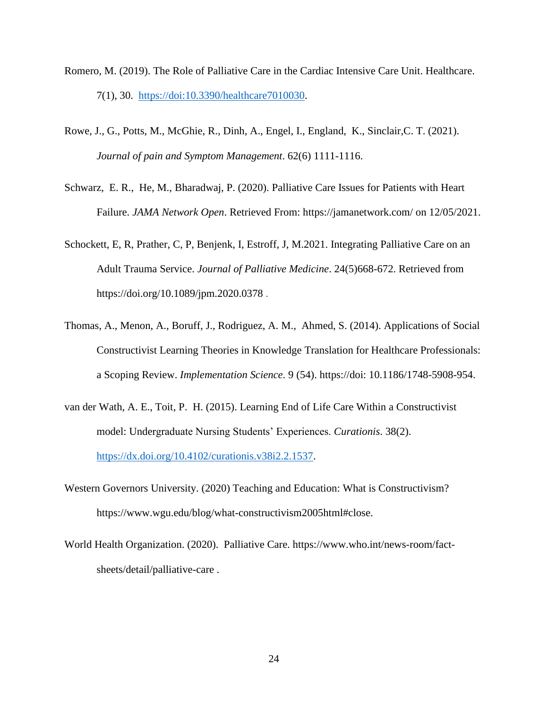- Romero, M. (2019). The Role of Palliative Care in the Cardiac Intensive Care Unit. Healthcare. 7(1), 30. https://doi:10.3390/healthcare7010030.
- Rowe, J., G., Potts, M., McGhie, R., Dinh, A., Engel, I., England, K., Sinclair,C. T. (2021). *Journal of pain and Symptom Management*. 62(6) 1111-1116.
- Schwarz, E. R., He, M., Bharadwaj, P. (2020). Palliative Care Issues for Patients with Heart Failure. *JAMA Network Open*. Retrieved From: https://jamanetwork.com/ on 12/05/2021.
- Schockett, E, R, Prather, C, P, Benjenk, I, Estroff, J, M.2021. Integrating Palliative Care on an Adult Trauma Service. *Journal of Palliative Medicine*. 24(5)668-672. Retrieved from <https://doi.org/10.1089/jpm.2020.0378> .
- Thomas, A., Menon, A., Boruff, J., Rodriguez, A. M., Ahmed, S. (2014). Applications of Social Constructivist Learning Theories in Knowledge Translation for Healthcare Professionals: a Scoping Review. *Implementation Science*. 9 (54). https://doi: 10.1186/1748-5908-954.
- van der Wath, A. E., Toit, P. H. (2015). Learning End of Life Care Within a Constructivist model: Undergraduate Nursing Students' Experiences. *Curationis*. 38(2). [https://dx.doi.org/10.4102/curationis.v38i2.2.1537.](https://dx.doi.org/10.4102/curationis.v38i2.2.1537)
- Western Governors University. (2020) Teaching and Education: What is Constructivism? [https://www.wgu.edu/blog/what-constructivism2005html#close.](https://www.wgu.edu/blog/what-constructivism2005html#close)
- World Health Organization. (2020). Palliative Care. [https://www.who.int/news-room/fact](https://www.who.int/news-room/fact-sheets/detail/palliative-care)[sheets/detail/palliative-care](https://www.who.int/news-room/fact-sheets/detail/palliative-care) .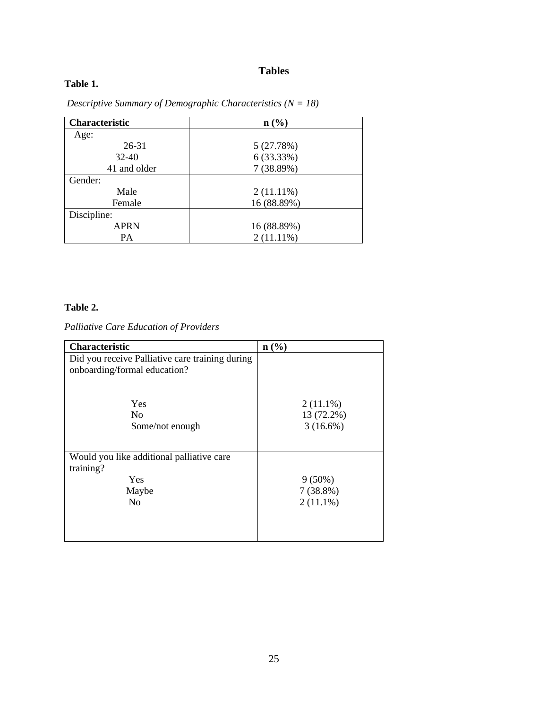# **Tables**

## <span id="page-25-0"></span>**Table 1.**

| <b>Characteristic</b> | $n\left(\frac{0}{0}\right)$ |
|-----------------------|-----------------------------|
| Age:                  |                             |
| $26 - 31$             | 5(27.78%)                   |
| $32-40$               | 6 (33.33%)                  |
| 41 and older          | 7(38.89%)                   |
| Gender:               |                             |
| Male                  | $2(11.11\%)$                |
| Female                | 16 (88.89%)                 |
| Discipline:           |                             |
| <b>APRN</b>           | 16 (88.89%)                 |
| PA                    | $2(11.11\%)$                |

*Descriptive Summary of Demographic Characteristics (N = 18)*

## **Table 2.**

*Palliative Care Education of Providers*

| <b>Characteristic</b>                                                                    | $\mathbf{n}(\%)$                         |
|------------------------------------------------------------------------------------------|------------------------------------------|
| Did you receive Palliative care training during<br>onboarding/formal education?          |                                          |
| Yes<br>N <sub>0</sub><br>Some/not enough                                                 | $2(11.1\%)$<br>13 (72.2%)<br>$3(16.6\%)$ |
| Would you like additional palliative care<br>training?<br>Yes<br>Maybe<br>N <sub>0</sub> | $9(50\%)$<br>$7(38.8\%)$<br>$2(11.1\%)$  |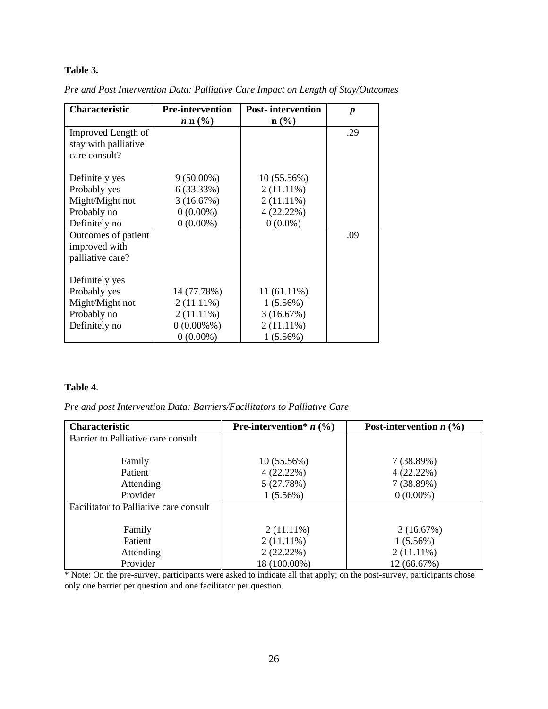## **Table 3.**

| Characteristic       | <b>Pre-intervention</b> | <b>Post-intervention</b> | $\boldsymbol{p}$ |
|----------------------|-------------------------|--------------------------|------------------|
|                      | $n n (\%)$              | $\mathbf{n}(\%)$         |                  |
| Improved Length of   |                         |                          | .29              |
| stay with palliative |                         |                          |                  |
| care consult?        |                         |                          |                  |
|                      |                         |                          |                  |
| Definitely yes       | $9(50.00\%)$            | 10 (55.56%)              |                  |
| Probably yes         | 6 (33.33%)              | $2(11.11\%)$             |                  |
| Might/Might not      | 3(16.67%)               | $2(11.11\%)$             |                  |
| Probably no          | $0(0.00\%)$             | 4(22.22%)                |                  |
| Definitely no        | $0(0.00\%)$             | $0(0.0\%)$               |                  |
| Outcomes of patient  |                         |                          | .09              |
| improved with        |                         |                          |                  |
| palliative care?     |                         |                          |                  |
|                      |                         |                          |                  |
| Definitely yes       |                         |                          |                  |
| Probably yes         | 14 (77.78%)             | $11(61.11\%)$            |                  |
| Might/Might not      | $2(11.11\%)$            | $1(5.56\%)$              |                  |
| Probably no          | $2(11.11\%)$            | 3(16.67%)                |                  |
| Definitely no        | $0(0.00\%%$             | $2(11.11\%)$             |                  |
|                      | $0(0.00\%)$             | $1(5.56\%)$              |                  |

*Pre and Post Intervention Data: Palliative Care Impact on Length of Stay/Outcomes*

### **Table 4**.

*Pre and post Intervention Data: Barriers/Facilitators to Palliative Care*

| Characteristic                         | <b>Pre-intervention</b> * $n$ (%) | Post-intervention $n$ (%) |
|----------------------------------------|-----------------------------------|---------------------------|
| Barrier to Palliative care consult     |                                   |                           |
|                                        |                                   |                           |
| Family                                 | 10(55.56%)                        | 7(38.89%)                 |
| Patient                                | 4(22.22%)                         | $4(22.22\%)$              |
| Attending                              | 5(27.78%)                         | 7(38.89%)                 |
| Provider                               | $1(5.56\%)$                       | $0(0.00\%)$               |
| Facilitator to Palliative care consult |                                   |                           |
|                                        |                                   |                           |
| Family                                 | $2(11.11\%)$                      | 3(16.67%)                 |
| Patient                                | $2(11.11\%)$                      | 1(5.56%)                  |
| Attending                              | 2(22.22%)                         | $2(11.11\%)$              |
| Provider                               | 18 (100.00%)                      | 12 (66.67%)               |

\* Note: On the pre-survey, participants were asked to indicate all that apply; on the post-survey, participants chose only one barrier per question and one facilitator per question.